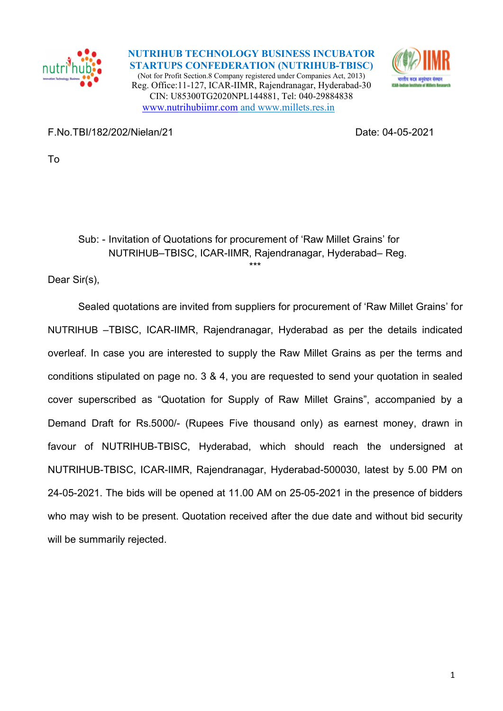

NUTRIHUB TECHNOLOGY BUSINESS INCUBATOR STARTUPS CONFEDERATION (NUTRIHUB-TBISC) (Not for Profit Section.8 Company registered under Companies Act, 2013) Reg. Office:11-127, ICAR-IIMR, Rajendranagar, Hyderabad-30 CIN: U85300TG2020NPL144881, Tel: 040-29884838 www.nutrihubiimr.com and www.millets.res.in



F.No.TBI/182/202/Nielan/21 Date: 04-05-2021

To

## Sub: - Invitation of Quotations for procurement of 'Raw Millet Grains' for NUTRIHUB–TBISC, ICAR-IIMR, Rajendranagar, Hyderabad– Reg. \*\*\*

Dear Sir(s),

 Sealed quotations are invited from suppliers for procurement of 'Raw Millet Grains' for NUTRIHUB –TBISC, ICAR-IIMR, Rajendranagar, Hyderabad as per the details indicated overleaf. In case you are interested to supply the Raw Millet Grains as per the terms and conditions stipulated on page no. 3 & 4, you are requested to send your quotation in sealed cover superscribed as "Quotation for Supply of Raw Millet Grains", accompanied by a Demand Draft for Rs.5000/- (Rupees Five thousand only) as earnest money, drawn in favour of NUTRIHUB-TBISC, Hyderabad, which should reach the undersigned at NUTRIHUB-TBISC, ICAR-IIMR, Rajendranagar, Hyderabad-500030, latest by 5.00 PM on 24-05-2021. The bids will be opened at 11.00 AM on 25-05-2021 in the presence of bidders who may wish to be present. Quotation received after the due date and without bid security will be summarily rejected.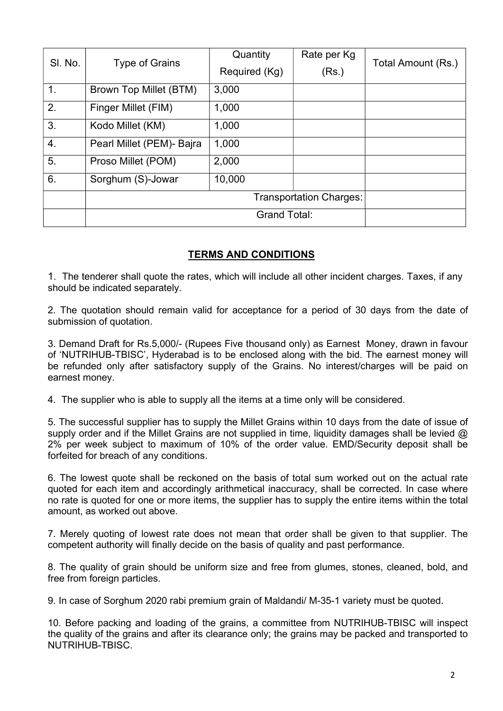| SI. No. | <b>Type of Grains</b>          | Quantity      | Rate per Kg | Total Amount (Rs.) |
|---------|--------------------------------|---------------|-------------|--------------------|
|         |                                | Required (Kg) | (Rs.)       |                    |
| 1.      | Brown Top Millet (BTM)         | 3,000         |             |                    |
| 2.      | Finger Millet (FIM)            | 1,000         |             |                    |
| 3.      | Kodo Millet (KM)               | 1,000         |             |                    |
| 4.      | Pearl Millet (PEM)- Bajra      | 1,000         |             |                    |
| 5.      | Proso Millet (POM)             | 2,000         |             |                    |
| 6.      | Sorghum (S)-Jowar              | 10,000        |             |                    |
|         | <b>Transportation Charges:</b> |               |             |                    |
|         | <b>Grand Total:</b>            |               |             |                    |

## TERMS AND CONDITIONS

1. The tenderer shall quote the rates, which will include all other incident charges. Taxes, if any should be indicated separately.

2. The quotation should remain valid for acceptance for a period of 30 days from the date of submission of quotation.

3. Demand Draft for Rs.5,000/- (Rupees Five thousand only) as Earnest Money, drawn in favour of 'NUTRIHUB-TBISC', Hyderabad is to be enclosed along with the bid. The earnest money will be refunded only after satisfactory supply of the Grains. No interest/charges will be paid on earnest money.

4. The supplier who is able to supply all the items at a time only will be considered.

5. The successful supplier has to supply the Millet Grains within 10 days from the date of issue of supply order and if the Millet Grains are not supplied in time, liquidity damages shall be levied  $\omega$ 2% per week subject to maximum of 10% of the order value. EMD/Security deposit shall be forfeited for breach of any conditions.

6. The lowest quote shall be reckoned on the basis of total sum worked out on the actual rate quoted for each item and accordingly arithmetical inaccuracy, shall be corrected. In case where no rate is quoted for one or more items, the supplier has to supply the entire items within the total amount, as worked out above.

7. Merely quoting of lowest rate does not mean that order shall be given to that supplier. The competent authority will finally decide on the basis of quality and past performance.

8. The quality of grain should be uniform size and free from glumes, stones, cleaned, bold, and free from foreign particles.

9. In case of Sorghum 2020 rabi premium grain of Maldandi/ M-35-1 variety must be quoted.

10. Before packing and loading of the grains, a committee from NUTRIHUB-TBISC will inspect the quality of the grains and after its clearance only; the grains may be packed and transported to NUTRIHUB-TBISC.